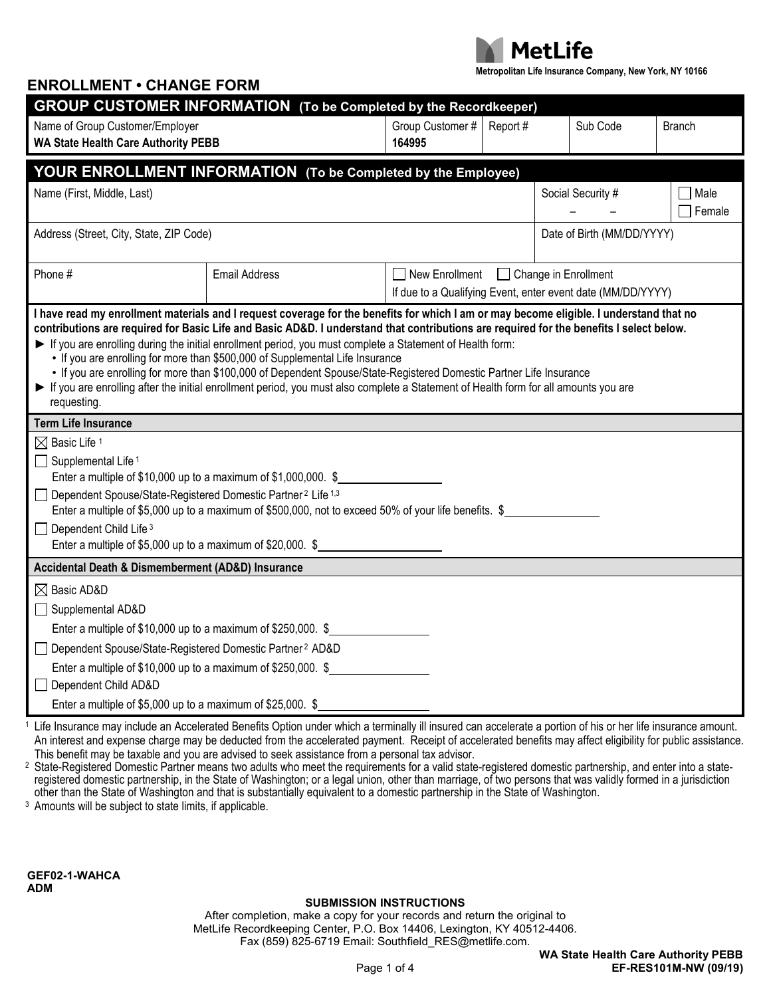

**Metropolitan Life Insurance Company, New York, NY 10166**

| <u>viiriivi</u><br><b>GROUP CUSTOMER INFORMATION</b> (To be Completed by the Recordkeeper)                                                                                                                                                                                                                                                                                                                                                                                                                                                                                                                                                                                                                                                                   |                                                                                                                                                      |                                                             |                            |          |                   |                  |  |  |  |  |
|--------------------------------------------------------------------------------------------------------------------------------------------------------------------------------------------------------------------------------------------------------------------------------------------------------------------------------------------------------------------------------------------------------------------------------------------------------------------------------------------------------------------------------------------------------------------------------------------------------------------------------------------------------------------------------------------------------------------------------------------------------------|------------------------------------------------------------------------------------------------------------------------------------------------------|-------------------------------------------------------------|----------------------------|----------|-------------------|------------------|--|--|--|--|
| Name of Group Customer/Employer                                                                                                                                                                                                                                                                                                                                                                                                                                                                                                                                                                                                                                                                                                                              |                                                                                                                                                      | Group Customer #                                            | Report#                    | Sub Code |                   | <b>Branch</b>    |  |  |  |  |
| <b>WA State Health Care Authority PEBB</b>                                                                                                                                                                                                                                                                                                                                                                                                                                                                                                                                                                                                                                                                                                                   |                                                                                                                                                      | 164995                                                      |                            |          |                   |                  |  |  |  |  |
|                                                                                                                                                                                                                                                                                                                                                                                                                                                                                                                                                                                                                                                                                                                                                              |                                                                                                                                                      |                                                             |                            |          |                   |                  |  |  |  |  |
|                                                                                                                                                                                                                                                                                                                                                                                                                                                                                                                                                                                                                                                                                                                                                              | YOUR ENROLLMENT INFORMATION (To be Completed by the Employee)                                                                                        |                                                             |                            |          |                   |                  |  |  |  |  |
| Name (First, Middle, Last)                                                                                                                                                                                                                                                                                                                                                                                                                                                                                                                                                                                                                                                                                                                                   |                                                                                                                                                      |                                                             |                            |          | Social Security # | □ Male<br>Female |  |  |  |  |
| Address (Street, City, State, ZIP Code)                                                                                                                                                                                                                                                                                                                                                                                                                                                                                                                                                                                                                                                                                                                      |                                                                                                                                                      |                                                             | Date of Birth (MM/DD/YYYY) |          |                   |                  |  |  |  |  |
| Phone #                                                                                                                                                                                                                                                                                                                                                                                                                                                                                                                                                                                                                                                                                                                                                      | <b>Email Address</b>                                                                                                                                 | New Enrollment<br>Change in Enrollment                      |                            |          |                   |                  |  |  |  |  |
|                                                                                                                                                                                                                                                                                                                                                                                                                                                                                                                                                                                                                                                                                                                                                              |                                                                                                                                                      | If due to a Qualifying Event, enter event date (MM/DD/YYYY) |                            |          |                   |                  |  |  |  |  |
| I have read my enrollment materials and I request coverage for the benefits for which I am or may become eligible. I understand that no<br>contributions are required for Basic Life and Basic AD&D. I understand that contributions are required for the benefits I select below.<br>If you are enrolling during the initial enrollment period, you must complete a Statement of Health form:<br>• If you are enrolling for more than \$500,000 of Supplemental Life Insurance<br>• If you are enrolling for more than \$100,000 of Dependent Spouse/State-Registered Domestic Partner Life Insurance<br>If you are enrolling after the initial enrollment period, you must also complete a Statement of Health form for all amounts you are<br>requesting. |                                                                                                                                                      |                                                             |                            |          |                   |                  |  |  |  |  |
| <b>Term Life Insurance</b>                                                                                                                                                                                                                                                                                                                                                                                                                                                                                                                                                                                                                                                                                                                                   |                                                                                                                                                      |                                                             |                            |          |                   |                  |  |  |  |  |
| $\boxtimes$ Basic Life 1<br>$\Box$ Supplemental Life <sup>1</sup><br>Enter a multiple of $$10,000$ up to a maximum of $$1,000,000$ . $$$<br>Dependent Spouse/State-Registered Domestic Partner <sup>2</sup> Life <sup>1,3</sup><br>$\perp$<br>Enter a multiple of \$5,000 up to a maximum of \$500,000, not to exceed 50% of your life benefits. \$<br>Dependent Child Life <sup>3</sup><br>$\Box$                                                                                                                                                                                                                                                                                                                                                           |                                                                                                                                                      |                                                             |                            |          |                   |                  |  |  |  |  |
| Enter a multiple of \$5,000 up to a maximum of \$20,000. \$                                                                                                                                                                                                                                                                                                                                                                                                                                                                                                                                                                                                                                                                                                  |                                                                                                                                                      |                                                             |                            |          |                   |                  |  |  |  |  |
| Accidental Death & Dismemberment (AD&D) Insurance                                                                                                                                                                                                                                                                                                                                                                                                                                                                                                                                                                                                                                                                                                            |                                                                                                                                                      |                                                             |                            |          |                   |                  |  |  |  |  |
| $\boxtimes$ Basic AD&D<br>Supplemental AD&D<br>$\perp$                                                                                                                                                                                                                                                                                                                                                                                                                                                                                                                                                                                                                                                                                                       |                                                                                                                                                      |                                                             |                            |          |                   |                  |  |  |  |  |
| Enter a multiple of $$10,000$ up to a maximum of $$250,000$ . $$$                                                                                                                                                                                                                                                                                                                                                                                                                                                                                                                                                                                                                                                                                            |                                                                                                                                                      |                                                             |                            |          |                   |                  |  |  |  |  |
| Dependent Spouse/State-Registered Domestic Partner <sup>2</sup> AD&D<br>$\perp$                                                                                                                                                                                                                                                                                                                                                                                                                                                                                                                                                                                                                                                                              |                                                                                                                                                      |                                                             |                            |          |                   |                  |  |  |  |  |
| Enter a multiple of \$10,000 up to a maximum of \$250,000. \$<br>Dependent Child AD&D<br>$\Box$                                                                                                                                                                                                                                                                                                                                                                                                                                                                                                                                                                                                                                                              |                                                                                                                                                      |                                                             |                            |          |                   |                  |  |  |  |  |
| Enter a multiple of \$5,000 up to a maximum of \$25,000. $\S$                                                                                                                                                                                                                                                                                                                                                                                                                                                                                                                                                                                                                                                                                                | Life Incurance mou include an Accelerated Depatito Ontion under which a terminally ill incured can accelerate a nextian of his ex her life incurance |                                                             |                            |          |                   |                  |  |  |  |  |

Life Insurance may include an Accelerated Benefits Option under which a terminally ill insured can accelerate a portion of his or her life insurance amount. An interest and expense charge may be deducted from the accelerated payment. Receipt of accelerated benefits may affect eligibility for public assistance. This benefit may be taxable and you are advised to seek assistance from a personal tax advisor.

<sup>2</sup> State-Registered Domestic Partner means two adults who meet the requirements for a valid state-registered domestic partnership, and enter into a stateregistered domestic partnership, in the State of Washington; or a legal union, other than marriage, of two persons that was validly formed in a jurisdiction other than the State of Washington and that is substantially equivalent to a domestic partnership in the State of Washington.

3 Amounts will be subject to state limits, if applicable.

**ENROLLMENT • CHANGE FORM**

**GEF02-1-WAHCA ADM**

### **SUBMISSION INSTRUCTIONS**

After completion, make a copy for your records and return the original to MetLife Recordkeeping Center, P.O. Box 14406, Lexington, KY 40512-4406. Fax (859) 825-6719 Email: Southfield\_RES@metlife.com.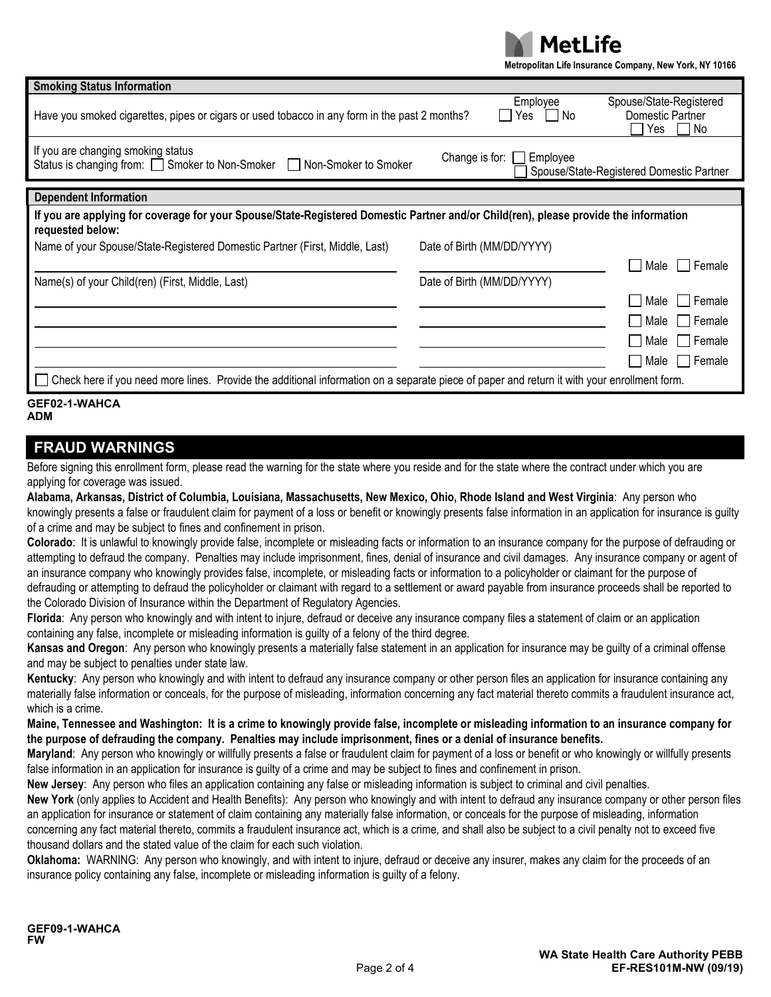

**Metropolitan Life Insurance Company, New York, NY 10166**

| <b>Smoking Status Information</b>                                                                                                                                                  |                            |                               |                                                          |  |  |  |  |  |
|------------------------------------------------------------------------------------------------------------------------------------------------------------------------------------|----------------------------|-------------------------------|----------------------------------------------------------|--|--|--|--|--|
| Have you smoked cigarettes, pipes or cigars or used tobacco in any form in the past 2 months?                                                                                      |                            | Employee<br>Yes<br>l No<br>I. | Spouse/State-Registered<br>Domestic Partner<br>Yes<br>No |  |  |  |  |  |
| If you are changing smoking status<br>Change is for:<br>Employee<br>Status is changing from: Smoker to Non-Smoker Non-Smoker to Smoker<br>Spouse/State-Registered Domestic Partner |                            |                               |                                                          |  |  |  |  |  |
| <b>Dependent Information</b>                                                                                                                                                       |                            |                               |                                                          |  |  |  |  |  |
| If you are applying for coverage for your Spouse/State-Registered Domestic Partner and/or Child(ren), please provide the information<br>requested below:                           |                            |                               |                                                          |  |  |  |  |  |
| Name of your Spouse/State-Registered Domestic Partner (First, Middle, Last)                                                                                                        | Date of Birth (MM/DD/YYYY) |                               |                                                          |  |  |  |  |  |
|                                                                                                                                                                                    |                            |                               | l Female<br>Male                                         |  |  |  |  |  |
| Name(s) of your Child(ren) (First, Middle, Last)                                                                                                                                   |                            | Date of Birth (MM/DD/YYYY)    |                                                          |  |  |  |  |  |
|                                                                                                                                                                                    |                            |                               | l Female<br>Male                                         |  |  |  |  |  |
|                                                                                                                                                                                    |                            |                               | Female<br>Male                                           |  |  |  |  |  |
|                                                                                                                                                                                    |                            |                               | ∣ Female<br>Male I                                       |  |  |  |  |  |
|                                                                                                                                                                                    |                            |                               | Female<br>Male                                           |  |  |  |  |  |
| Check here if you need more lines. Provide the additional information on a separate piece of paper and return it with your enrollment form.                                        |                            |                               |                                                          |  |  |  |  |  |
| APPAA <i>1</i> 11/11/A 1                                                                                                                                                           |                            |                               |                                                          |  |  |  |  |  |

#### **GEF02-1-WAHCA ADM**

## **FRAUD WARNINGS**

Before signing this enrollment form, please read the warning for the state where you reside and for the state where the contract under which you are applying for coverage was issued.

**Alabama, Arkansas, District of Columbia, Louisiana, Massachusetts, New Mexico, Ohio, Rhode Island and West Virginia**: Any person who knowingly presents a false or fraudulent claim for payment of a loss or benefit or knowingly presents false information in an application for insurance is guilty of a crime and may be subject to fines and confinement in prison.

**Colorado**: It is unlawful to knowingly provide false, incomplete or misleading facts or information to an insurance company for the purpose of defrauding or attempting to defraud the company. Penalties may include imprisonment, fines, denial of insurance and civil damages. Any insurance company or agent of an insurance company who knowingly provides false, incomplete, or misleading facts or information to a policyholder or claimant for the purpose of defrauding or attempting to defraud the policyholder or claimant with regard to a settlement or award payable from insurance proceeds shall be reported to the Colorado Division of Insurance within the Department of Regulatory Agencies.

**Florida**: Any person who knowingly and with intent to injure, defraud or deceive any insurance company files a statement of claim or an application containing any false, incomplete or misleading information is guilty of a felony of the third degree.

**Kansas and Oregon**: Any person who knowingly presents a materially false statement in an application for insurance may be guilty of a criminal offense and may be subject to penalties under state law.

**Kentucky**: Any person who knowingly and with intent to defraud any insurance company or other person files an application for insurance containing any materially false information or conceals, for the purpose of misleading, information concerning any fact material thereto commits a fraudulent insurance act, which is a crime.

**Maine, Tennessee and Washington: It is a crime to knowingly provide false, incomplete or misleading information to an insurance company for the purpose of defrauding the company. Penalties may include imprisonment, fines or a denial of insurance benefits.**

**Maryland**: Any person who knowingly or willfully presents a false or fraudulent claim for payment of a loss or benefit or who knowingly or willfully presents false information in an application for insurance is guilty of a crime and may be subject to fines and confinement in prison.

**New Jersey**: Any person who files an application containing any false or misleading information is subject to criminal and civil penalties.

**New York** (only applies to Accident and Health Benefits): Any person who knowingly and with intent to defraud any insurance company or other person files an application for insurance or statement of claim containing any materially false information, or conceals for the purpose of misleading, information concerning any fact material thereto, commits a fraudulent insurance act, which is a crime, and shall also be subject to a civil penalty not to exceed five thousand dollars and the stated value of the claim for each such violation.

**Oklahoma:** WARNING: Any person who knowingly, and with intent to injure, defraud or deceive any insurer, makes any claim for the proceeds of an insurance policy containing any false, incomplete or misleading information is guilty of a felony.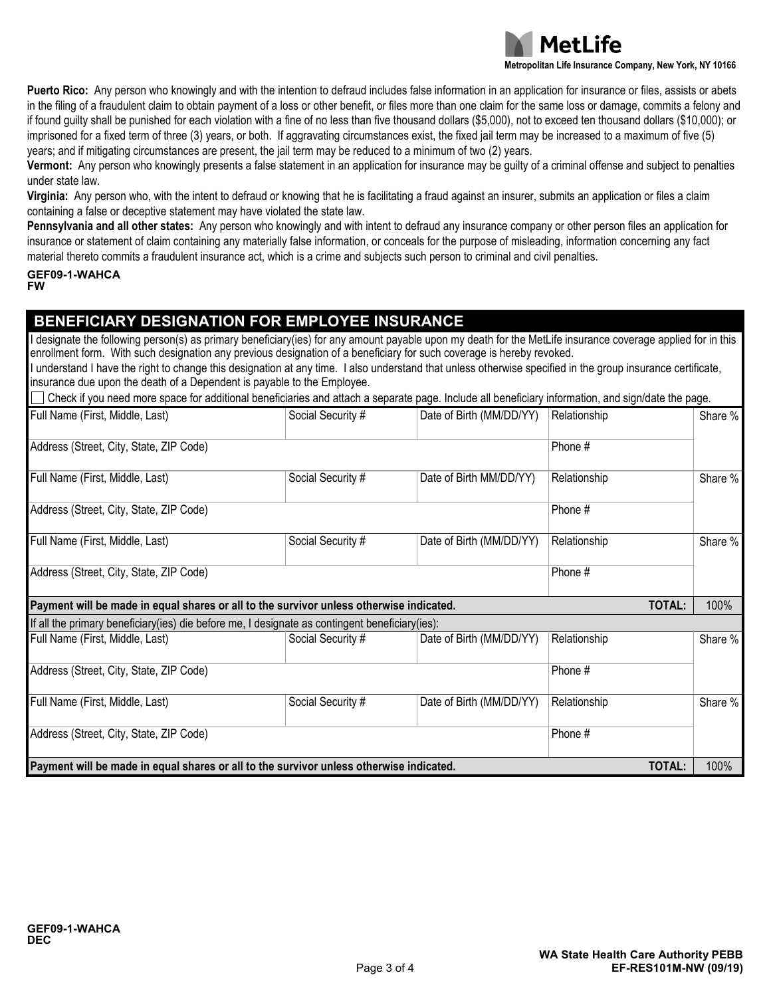

**Metropolitan Life Insurance Company, New York, NY 10166**

**Puerto Rico:** Any person who knowingly and with the intention to defraud includes false information in an application for insurance or files, assists or abets in the filing of a fraudulent claim to obtain payment of a loss or other benefit, or files more than one claim for the same loss or damage, commits a felony and if found guilty shall be punished for each violation with a fine of no less than five thousand dollars (\$5,000), not to exceed ten thousand dollars (\$10,000); or imprisoned for a fixed term of three (3) years, or both. If aggravating circumstances exist, the fixed jail term may be increased to a maximum of five (5) years; and if mitigating circumstances are present, the jail term may be reduced to a minimum of two (2) years.

**Vermont:** Any person who knowingly presents a false statement in an application for insurance may be guilty of a criminal offense and subject to penalties under state law.

**Virginia:** Any person who, with the intent to defraud or knowing that he is facilitating a fraud against an insurer, submits an application or files a claim containing a false or deceptive statement may have violated the state law.

**Pennsylvania and all other states:** Any person who knowingly and with intent to defraud any insurance company or other person files an application for insurance or statement of claim containing any materially false information, or conceals for the purpose of misleading, information concerning any fact material thereto commits a fraudulent insurance act, which is a crime and subjects such person to criminal and civil penalties.

#### **GEF09-1-WAHCA FW**

## **BENEFICIARY DESIGNATION FOR EMPLOYEE INSURANCE**

I designate the following person(s) as primary beneficiary(ies) for any amount payable upon my death for the MetLife insurance coverage applied for in this enrollment form. With such designation any previous designation of a beneficiary for such coverage is hereby revoked.

I understand I have the right to change this designation at any time. I also understand that unless otherwise specified in the group insurance certificate, insurance due upon the death of a Dependent is payable to the Employee.

Check if you need more space for additional beneficiaries and attach a separate page. Include all beneficiary information, and sign/date the page.

| Full Name (First, Middle, Last)                                                                          | Social Security # | Date of Birth (MM/DD/YY) | Relationship |  | Share % |  |  |
|----------------------------------------------------------------------------------------------------------|-------------------|--------------------------|--------------|--|---------|--|--|
| Address (Street, City, State, ZIP Code)                                                                  |                   |                          | Phone #      |  |         |  |  |
| Full Name (First, Middle, Last)                                                                          | Social Security # | Date of Birth MM/DD/YY)  | Relationship |  | Share % |  |  |
| Address (Street, City, State, ZIP Code)                                                                  |                   |                          | Phone #      |  |         |  |  |
| Full Name (First, Middle, Last)                                                                          | Social Security # | Date of Birth (MM/DD/YY) | Relationship |  | Share % |  |  |
| Address (Street, City, State, ZIP Code)                                                                  |                   |                          | Phone #      |  |         |  |  |
| <b>TOTAL:</b><br>Payment will be made in equal shares or all to the survivor unless otherwise indicated. |                   |                          |              |  |         |  |  |
| If all the primary beneficiary (ies) die before me, I designate as contingent beneficiary (ies):         |                   |                          |              |  |         |  |  |
| Full Name (First, Middle, Last)                                                                          | Social Security # | Date of Birth (MM/DD/YY) | Relationship |  | Share % |  |  |
| Address (Street, City, State, ZIP Code)<br>Phone #                                                       |                   |                          |              |  |         |  |  |
| Full Name (First, Middle, Last)                                                                          | Social Security # | Date of Birth (MM/DD/YY) | Relationship |  | Share % |  |  |
| Address (Street, City, State, ZIP Code)<br>Phone #                                                       |                   |                          |              |  |         |  |  |
| Payment will be made in equal shares or all to the survivor unless otherwise indicated.<br>TOTAL:        |                   |                          |              |  |         |  |  |